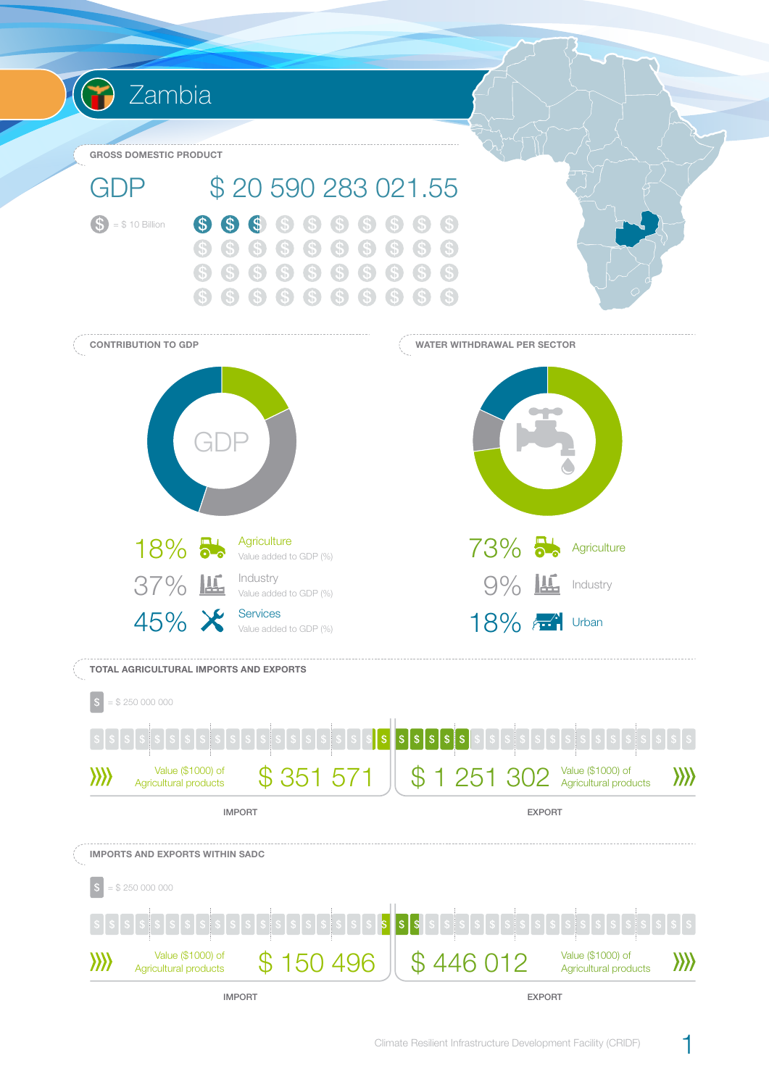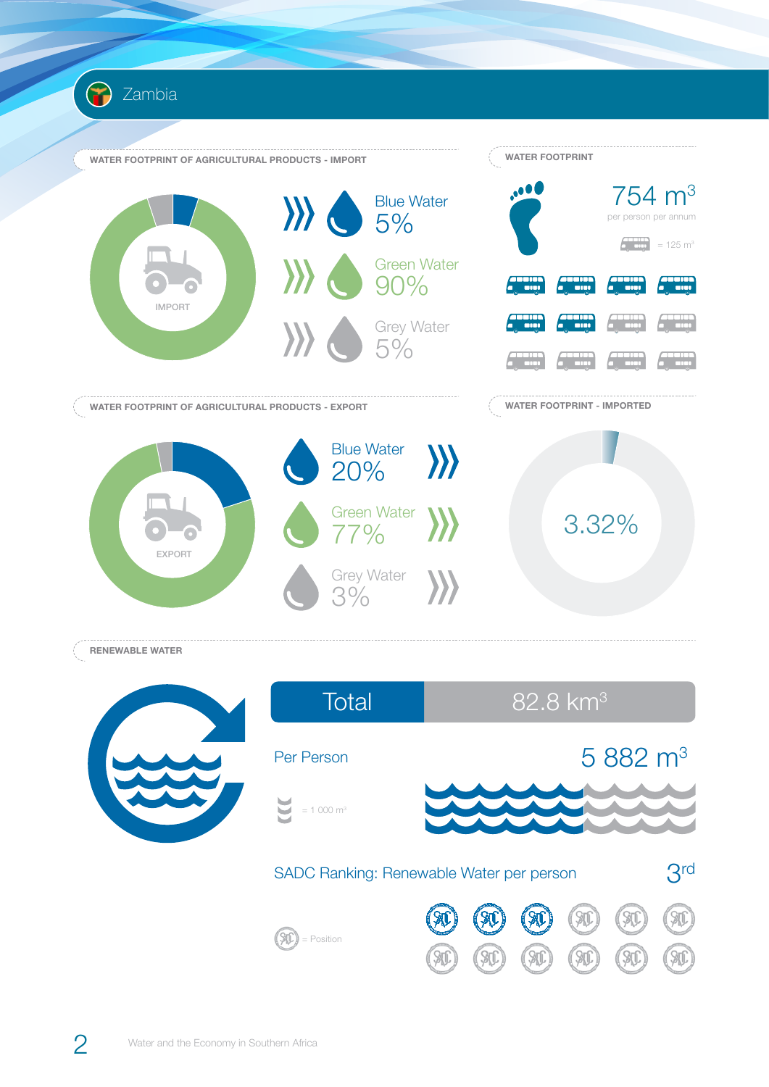



W

Sti

ST

W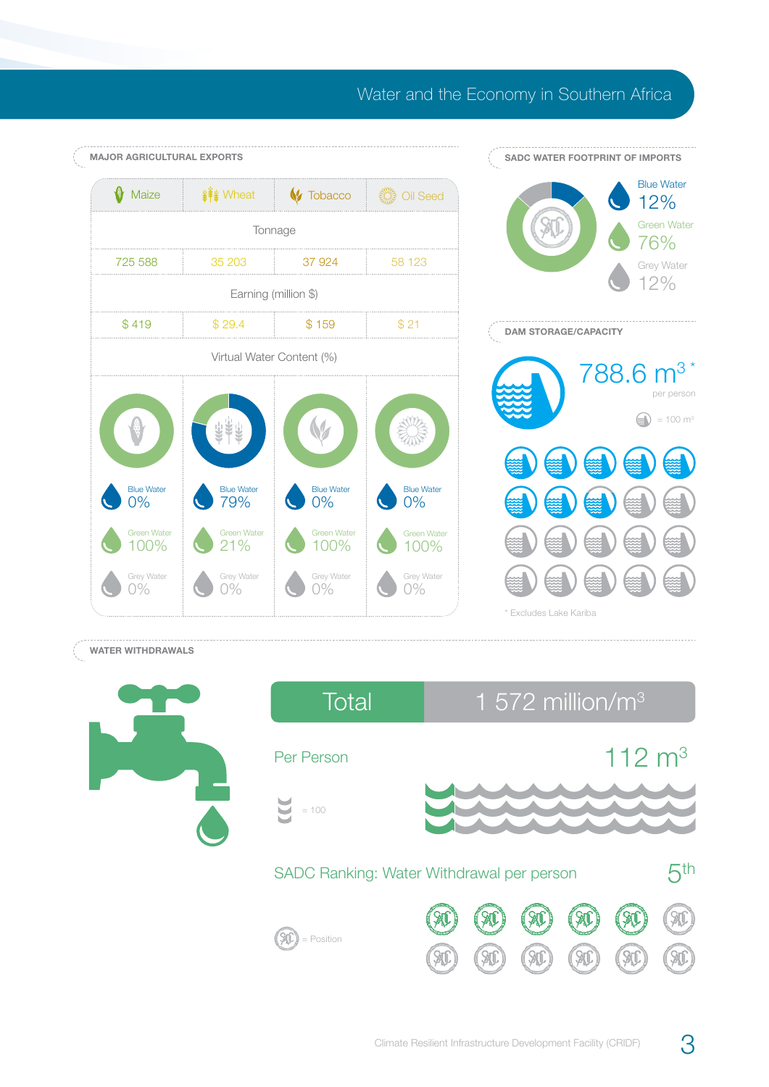## Water and the Economy in Southern Africa



## **WATER WITHDRAWALS**